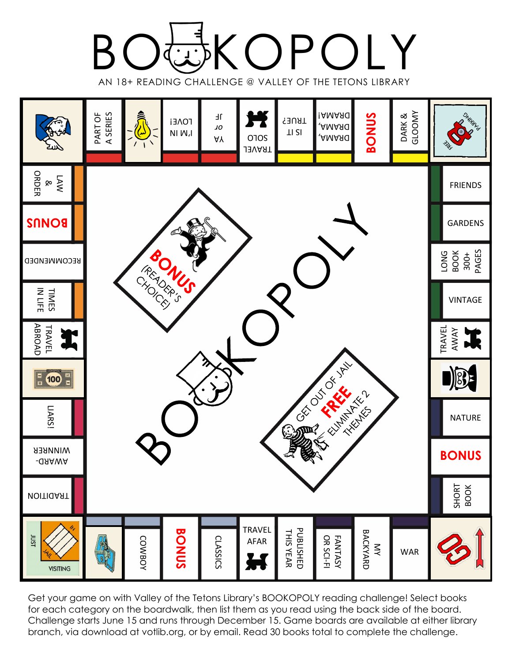



Get your game on with Valley of the Tetons Library's BOOKOPOLY reading challenge! Select books for each category on the boardwalk, then list them as you read using the back side of the board. Challenge starts June 15 and runs through December 15. Game boards are available at either library branch, via download at votlib.org, or by email. Read 30 books total to complete the challenge.